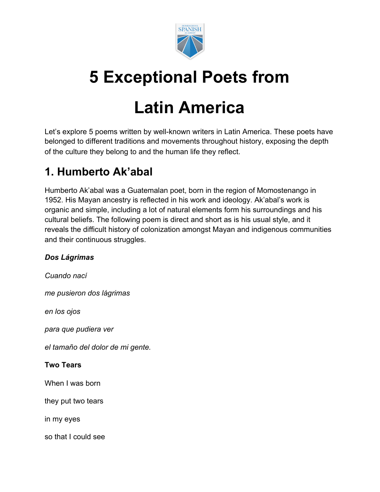

# **5 Exceptional Poets from**

# **Latin America**

Let's explore 5 poems written by well-known writers in Latin America. These poets have belonged to different traditions and movements throughout history, exposing the depth of the culture they belong to and the human life they reflect.

# **1. Humberto Ak'abal**

Humberto Ak'abal was a Guatemalan poet, born in the region of Momostenango in 1952. His Mayan ancestry is reflected in his work and ideology. [Ak'abal's work](https://www.poemas-del-alma.com/humberto-ak-abal.htm) is organic and simple, including a lot of natural elements form his surroundings and his cultural beliefs. The following poem is direct and short as is his usual style, and it reveals the difficult history of colonization amongst Mayan and indigenous communities and their continuous struggles.

### *Dos Lágrimas*

*Cuando nací me pusieron dos lágrimas en los ojos para que pudiera ver el tamaño del dolor de mi gente.* **Two Tears** When I was born they put two tears in my eyes so that I could see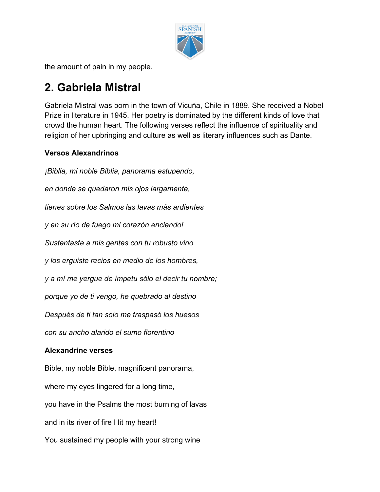

the amount of pain in my people.

## **2. Gabriela Mistral**

Gabriela Mistral was born in the town of Vicuña, Chile in 1889. She received a Nobel Prize in literature in 1945. [Her poetry](https://www.poetryfoundation.org/poets/gabriela-mistral) is dominated by the different kinds of love that crowd the human heart. The following verses reflect the influence of spirituality and religion of her upbringing and culture as well as literary influences such as Dante.

### **Versos Alexandrinos**

*en donde se quedaron mis ojos largamente, tienes sobre los Salmos las lavas más ardientes y en su río de fuego mi corazón enciendo! Sustentaste a mis gentes con tu robusto vino y los erguiste recios en medio de los hombres, y a mí me yergue de ímpetu sólo el decir tu nombre; porque yo de ti vengo, he quebrado al destino Después de ti tan solo me traspasó los huesos con su ancho alarido el sumo florentino* **Alexandrine verses** Bible, my noble Bible, magnificent panorama, where my eyes lingered for a long time, you have in the Psalms the most burning of lavas and in its river of fire I lit my heart! You sustained my people with your strong wine

*¡Biblia, mi noble Biblia, panorama estupendo,*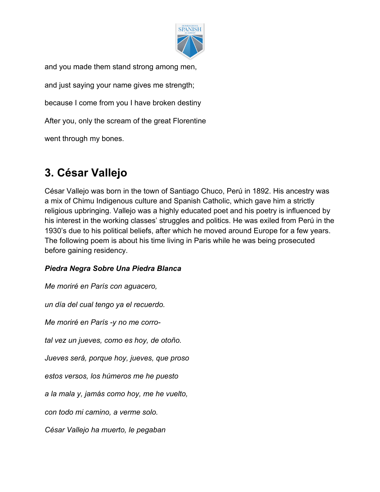

and you made them stand strong among men, and just saying your name gives me strength; because I come from you I have broken destiny After you, only the scream of the great Florentine went through my bones.

# **3. César Vallejo**

César Vallejo was born in the town of Santiago Chuco, Perú in 1892. His ancestry was a mix of Chimu Indigenous culture and Spanish Catholic, which gave him a strictly religious upbringing. Vallejo was a highly educated poet and [his poetry](https://poets.org/poet/cesar-vallejo) is influenced by his interest in the working classes' struggles and politics. He was exiled from Perú in the 1930's due to his political beliefs, after which he moved around Europe for a few years. [The following poem](https://encuentratupoema.pe/poema/piedra-negra-sobre-una-piedra-blanca/) is about his time living in Paris while he was being prosecuted before gaining residency.

### *Piedra Negra Sobre Una Piedra Blanca*

*Me moriré en París con aguacero,*

*un día del cual tengo ya el recuerdo.*

*Me moriré en París -y no me corro-*

*tal vez un jueves, como es hoy, de otoño.*

*Jueves será, porque hoy, jueves, que proso*

*estos versos, los húmeros me he puesto*

*a la mala y, jamás como hoy, me he vuelto,*

*con todo mi camino, a verme solo.*

*César Vallejo ha muerto, le pegaban*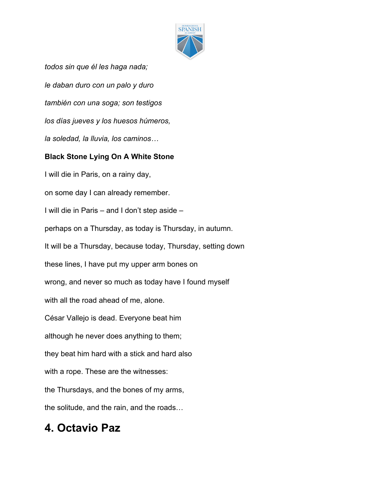

*todos sin que él les haga nada; le daban duro con un palo y duro también con una soga; son testigos los días jueves y los huesos húmeros, la soledad, la lluvia, los caminos…*

#### **Black Stone Lying On A White Stone**

I will die in Paris, on a rainy day, on some day I can already remember. I will die in Paris – and I don't step aside – perhaps on a Thursday, as today is Thursday, in autumn. It will be a Thursday, because today, Thursday, setting down these lines, I have put my upper arm bones on wrong, and never so much as today have I found myself with all the road ahead of me, alone. César Vallejo is dead. Everyone beat him although he never does anything to them; they beat him hard with a stick and hard also with a rope. These are the witnesses: the Thursdays, and the bones of my arms, the solitude, and the rain, and the roads…

# **4. Octavio Paz**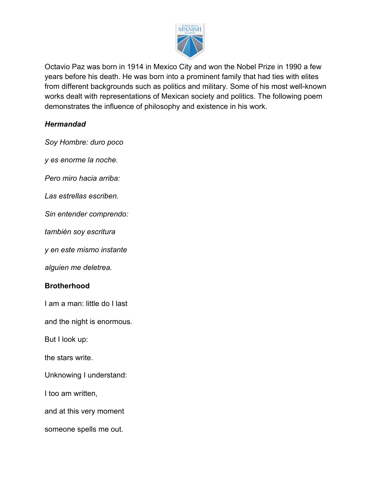

Octavio Paz was born in 1914 in Mexico City and won the Nobel Prize in 1990 a few years before his death. He was born into a prominent family that had ties with elites from different backgrounds such as politics and military. Some of his most well-known works dealt with representations of Mexican society and politics. [The following poem](https://www.poemhunter.com/poem/brotherhood-3/) demonstrates the influence of philosophy and existence in his work.

#### *Hermandad*

*Soy Hombre: duro poco*

*y es enorme la noche.*

*Pero miro hacia arriba:*

*Las estrellas escriben.*

*Sin entender comprendo:*

*también soy escritura*

*y en este mismo instante*

*alguien me deletrea.*

#### **Brotherhood**

I am a man: little do I last

and the night is enormous.

But I look up:

the stars write.

Unknowing I understand:

I too am written,

and at this very moment

someone spells me out.